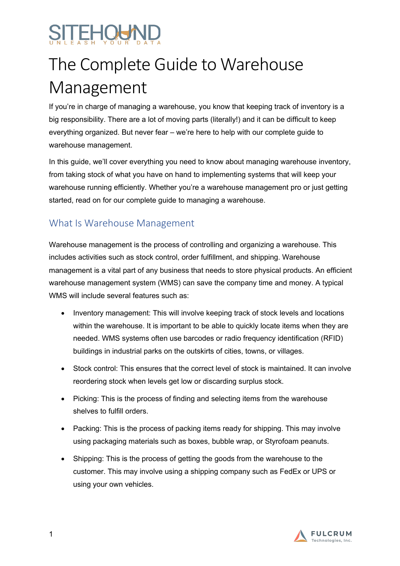# EHÖÄV

## The Complete Guide to Warehouse Management

If you're in charge of managing a warehouse, you know that keeping track of inventory is a big responsibility. There are a lot of moving parts (literally!) and it can be difficult to keep everything organized. But never fear – we're here to help with our complete guide to warehouse management.

In this guide, we'll cover everything you need to know about managing warehouse inventory, from taking stock of what you have on hand to implementing systems that will keep your warehouse running efficiently. Whether you're a warehouse management pro or just getting started, read on for our complete guide to managing a warehouse.

### What Is Warehouse Management

Warehouse management is the process of controlling and organizing a warehouse. This includes activities such as stock control, order fulfillment, and shipping. Warehouse management is a vital part of any business that needs to store physical products. An efficient warehouse management system (WMS) can save the company time and money. A typical WMS will include several features such as:

- Inventory management: This will involve keeping track of stock levels and locations within the warehouse. It is important to be able to quickly locate items when they are needed. WMS systems often use barcodes or radio frequency identification (RFID) buildings in industrial parks on the outskirts of cities, towns, or villages.
- Stock control: This ensures that the correct level of stock is maintained. It can involve reordering stock when levels get low or discarding surplus stock.
- Picking: This is the process of finding and selecting items from the warehouse shelves to fulfill orders.
- Packing: This is the process of packing items ready for shipping. This may involve using packaging materials such as boxes, bubble wrap, or Styrofoam peanuts.
- Shipping: This is the process of getting the goods from the warehouse to the customer. This may involve using a shipping company such as FedEx or UPS or using your own vehicles.

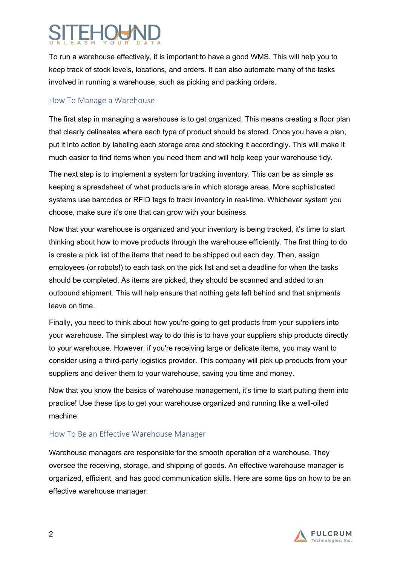To run a warehouse effectively, it is important to have a good WMS. This will help you to keep track of stock levels, locations, and orders. It can also automate many of the tasks involved in running a warehouse, such as picking and packing orders.

#### How To Manage a Warehouse

The first step in managing a warehouse is to get organized. This means creating a floor plan that clearly delineates where each type of product should be stored. Once you have a plan, put it into action by labeling each storage area and stocking it accordingly. This will make it much easier to find items when you need them and will help keep your warehouse tidy.

The next step is to implement a system for tracking inventory. This can be as simple as keeping a spreadsheet of what products are in which storage areas. More sophisticated systems use barcodes or RFID tags to track inventory in real-time. Whichever system you choose, make sure it's one that can grow with your business.

Now that your warehouse is organized and your inventory is being tracked, it's time to start thinking about how to move products through the warehouse efficiently. The first thing to do is create a pick list of the items that need to be shipped out each day. Then, assign employees (or robots!) to each task on the pick list and set a deadline for when the tasks should be completed. As items are picked, they should be scanned and added to an outbound shipment. This will help ensure that nothing gets left behind and that shipments leave on time.

Finally, you need to think about how you're going to get products from your suppliers into your warehouse. The simplest way to do this is to have your suppliers ship products directly to your warehouse. However, if you're receiving large or delicate items, you may want to consider using a third-party logistics provider. This company will pick up products from your suppliers and deliver them to your warehouse, saving you time and money.

Now that you know the basics of warehouse management, it's time to start putting them into practice! Use these tips to get your warehouse organized and running like a well-oiled machine.

### How To Be an Effective Warehouse Manager

Warehouse managers are responsible for the smooth operation of a warehouse. They oversee the receiving, storage, and shipping of goods. An effective warehouse manager is organized, efficient, and has good communication skills. Here are some tips on how to be an effective warehouse manager:

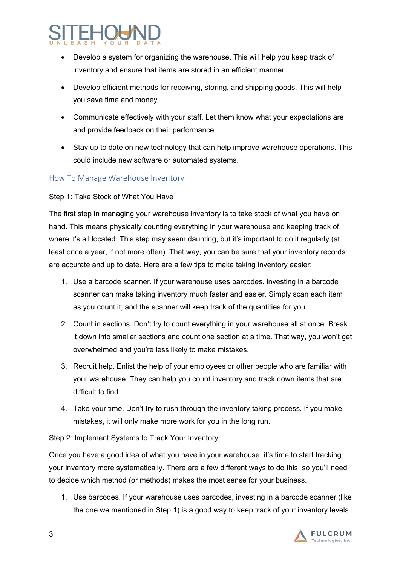- Develop a system for organizing the warehouse. This will help you keep track of inventory and ensure that items are stored in an efficient manner.
- Develop efficient methods for receiving, storing, and shipping goods. This will help you save time and money.
- Communicate effectively with your staff. Let them know what your expectations are and provide feedback on their performance.
- Stay up to date on new technology that can help improve warehouse operations. This could include new software or automated systems.

### How To Manage Warehouse Inventory

#### Step 1: Take Stock of What You Have

The first step in managing your warehouse inventory is to take stock of what you have on hand. This means physically counting everything in your warehouse and keeping track of where it's all located. This step may seem daunting, but it's important to do it regularly (at least once a year, if not more often). That way, you can be sure that your inventory records are accurate and up to date. Here are a few tips to make taking inventory easier:

- 1. Use a barcode scanner. If your warehouse uses barcodes, investing in a barcode scanner can make taking inventory much faster and easier. Simply scan each item as you count it, and the scanner will keep track of the quantities for you.
- 2. Count in sections. Don't try to count everything in your warehouse all at once. Break it down into smaller sections and count one section at a time. That way, you won't get overwhelmed and you're less likely to make mistakes.
- 3. Recruit help. Enlist the help of your employees or other people who are familiar with your warehouse. They can help you count inventory and track down items that are difficult to find.
- 4. Take your time. Don't try to rush through the inventory-taking process. If you make mistakes, it will only make more work for you in the long run.

#### Step 2: Implement Systems to Track Your Inventory

Once you have a good idea of what you have in your warehouse, it's time to start tracking your inventory more systematically. There are a few different ways to do this, so you'll need to decide which method (or methods) makes the most sense for your business.

1. Use barcodes. If your warehouse uses barcodes, investing in a barcode scanner (like the one we mentioned in Step 1) is a good way to keep track of your inventory levels.

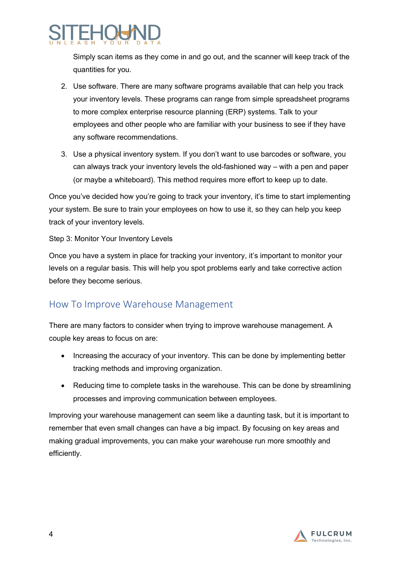Simply scan items as they come in and go out, and the scanner will keep track of the quantities for you.

- 2. Use software. There are many software programs available that can help you track your inventory levels. These programs can range from simple spreadsheet programs to more complex enterprise resource planning (ERP) systems. Talk to your employees and other people who are familiar with your business to see if they have any software recommendations.
- 3. Use a physical inventory system. If you don't want to use barcodes or software, you can always track your inventory levels the old-fashioned way – with a pen and paper (or maybe a whiteboard). This method requires more effort to keep up to date.

Once you've decided how you're going to track your inventory, it's time to start implementing your system. Be sure to train your employees on how to use it, so they can help you keep track of your inventory levels.

Step 3: Monitor Your Inventory Levels

Once you have a system in place for tracking your inventory, it's important to monitor your levels on a regular basis. This will help you spot problems early and take corrective action before they become serious.

### How To Improve Warehouse Management

There are many factors to consider when trying to improve warehouse management. A couple key areas to focus on are:

- Increasing the accuracy of your inventory. This can be done by implementing better tracking methods and improving organization.
- Reducing time to complete tasks in the warehouse. This can be done by streamlining processes and improving communication between employees.

Improving your warehouse management can seem like a daunting task, but it is important to remember that even small changes can have a big impact. By focusing on key areas and making gradual improvements, you can make your warehouse run more smoothly and efficiently.

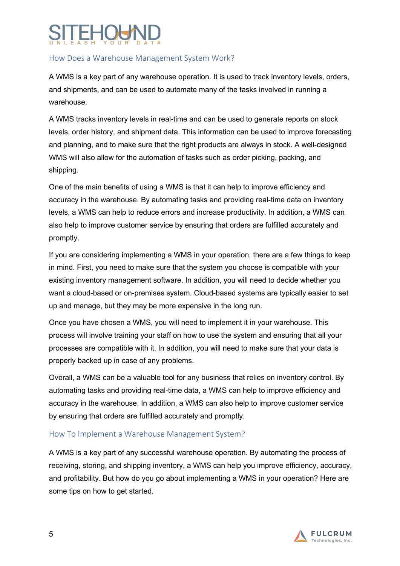### How Does a Warehouse Management System Work?

A WMS is a key part of any warehouse operation. It is used to track inventory levels, orders, and shipments, and can be used to automate many of the tasks involved in running a warehouse.

A WMS tracks inventory levels in real-time and can be used to generate reports on stock levels, order history, and shipment data. This information can be used to improve forecasting and planning, and to make sure that the right products are always in stock. A well-designed WMS will also allow for the automation of tasks such as order picking, packing, and shipping.

One of the main benefits of using a WMS is that it can help to improve efficiency and accuracy in the warehouse. By automating tasks and providing real-time data on inventory levels, a WMS can help to reduce errors and increase productivity. In addition, a WMS can also help to improve customer service by ensuring that orders are fulfilled accurately and promptly.

If you are considering implementing a WMS in your operation, there are a few things to keep in mind. First, you need to make sure that the system you choose is compatible with your existing inventory management software. In addition, you will need to decide whether you want a cloud-based or on-premises system. Cloud-based systems are typically easier to set up and manage, but they may be more expensive in the long run.

Once you have chosen a WMS, you will need to implement it in your warehouse. This process will involve training your staff on how to use the system and ensuring that all your processes are compatible with it. In addition, you will need to make sure that your data is properly backed up in case of any problems.

Overall, a WMS can be a valuable tool for any business that relies on inventory control. By automating tasks and providing real-time data, a WMS can help to improve efficiency and accuracy in the warehouse. In addition, a WMS can also help to improve customer service by ensuring that orders are fulfilled accurately and promptly.

### How To Implement a Warehouse Management System?

A WMS is a key part of any successful warehouse operation. By automating the process of receiving, storing, and shipping inventory, a WMS can help you improve efficiency, accuracy, and profitability. But how do you go about implementing a WMS in your operation? Here are some tips on how to get started.